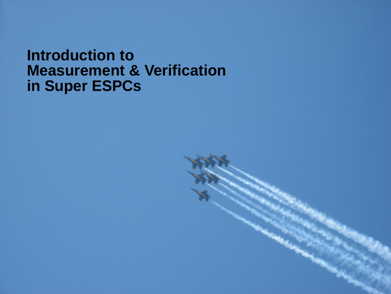#### **Introduction to Measurement & Verification in Super ESPCs**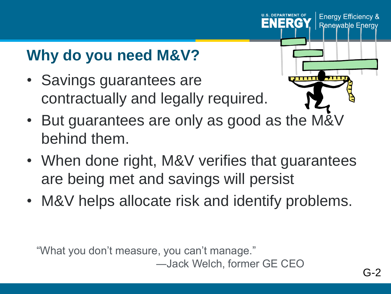# **Why do you need M&V?**

• Savings guarantees are contractually and legally required.



ENERG

**Energy Efficiency &** 

**Renewable Energy** 

- But guarantees are only as good as the M&V behind them.
- When done right, M&V verifies that guarantees are being met and savings will persist
- M&V helps allocate risk and identify problems.

"What you don't measure, you can't manage."

―Jack Welch, former GE CEO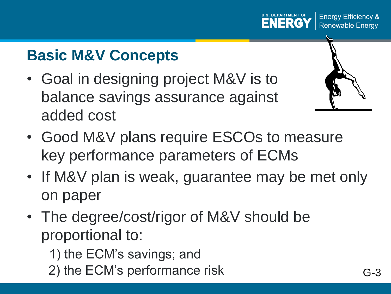## **Basic M&V Concepts**

- Goal in designing project M&V is to balance savings assurance against added cost
- Good M&V plans require ESCOs to measure key performance parameters of ECMs
- If M&V plan is weak, guarantee may be met only on paper
- The degree/cost/rigor of M&V should be proportional to:
	- 1) the ECM's savings; and
	- 2) the ECM's performance risk G-3





**Energy Efficiency &** 

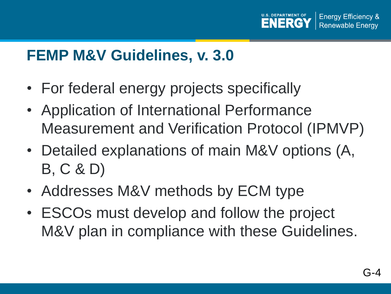

#### **FEMP M&V Guidelines, v. 3.0**

- For federal energy projects specifically
- Application of International Performance Measurement and Verification Protocol (IPMVP)
- Detailed explanations of main M&V options (A, B, C & D)
- Addresses M&V methods by ECM type
- ESCOs must develop and follow the project M&V plan in compliance with these Guidelines.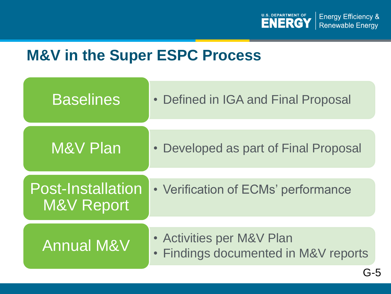

### **M&V in the Super ESPC Process**

| <b>Baselines</b>                       | • Defined in IGA and Final Proposal                               |
|----------------------------------------|-------------------------------------------------------------------|
| <b>M&amp;V Plan</b>                    | • Developed as part of Final Proposal                             |
| <b>Post-Installation</b><br>M&V Report | • Verification of ECMs' performance                               |
| <b>Annual M&amp;V</b>                  | • Activities per M&V Plan<br>• Findings documented in M&V reports |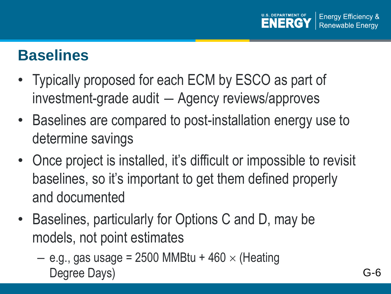

### **Baselines**

- Typically proposed for each ECM by ESCO as part of investment-grade audit ― Agency reviews/approves
- Baselines are compared to post-installation energy use to determine savings
- Once project is installed, it's difficult or impossible to revisit baselines, so it's important to get them defined properly and documented
- Baselines, particularly for Options C and D, may be models, not point estimates
	- $-$  e.g., gas usage = 2500 MMBtu + 460  $\times$  (Heating Degree Days) G-6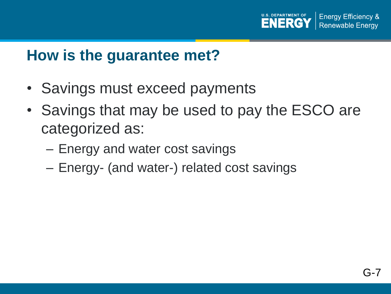

#### **How is the guarantee met?**

- Savings must exceed payments
- Savings that may be used to pay the ESCO are categorized as:
	- Energy and water cost savings
	- Energy- (and water-) related cost savings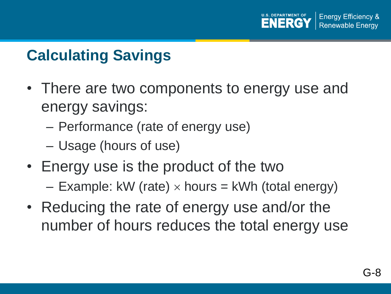# **Calculating Savings**

- There are two components to energy use and energy savings:
	- Performance (rate of energy use)
	- Usage (hours of use)
- Energy use is the product of the two
	- Example: kW (rate)  $\times$  hours = kWh (total energy)
- Reducing the rate of energy use and/or the number of hours reduces the total energy use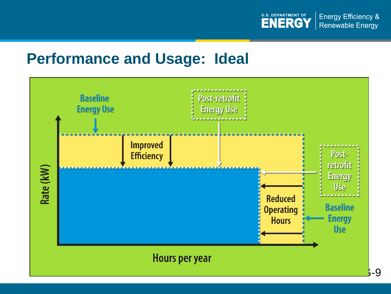

#### **Performance and Usage: Ideal**

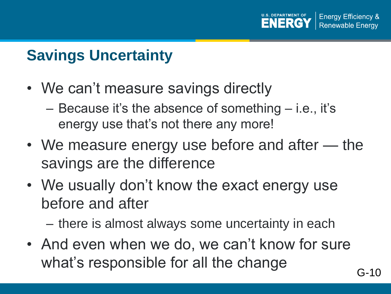## **Savings Uncertainty**

- We can't measure savings directly
	- Because it's the absence of something i.e., it's energy use that's not there any more!
- We measure energy use before and after the savings are the difference
- We usually don't know the exact energy use before and after

– there is almost always some uncertainty in each

• And even when we do, we can't know for sure what's responsible for all the change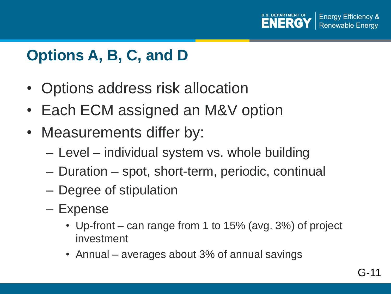

### **Options A, B, C, and D**

- Options address risk allocation
- Each ECM assigned an M&V option
- Measurements differ by:
	- Level individual system vs. whole building
	- Duration spot, short-term, periodic, continual
	- Degree of stipulation
	- Expense
		- Up-front can range from 1 to 15% (avg. 3%) of project investment
		- Annual averages about 3% of annual savings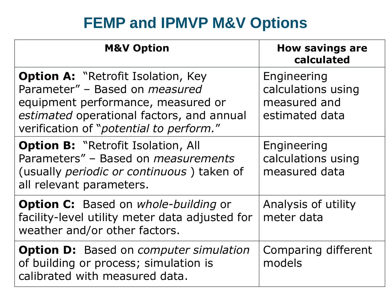## **FEMP and IPMVP M&V Options**

| <b>M&amp;V Option</b>                                                                                                                                                                                            | <b>How savings are</b><br>calculated                                |
|------------------------------------------------------------------------------------------------------------------------------------------------------------------------------------------------------------------|---------------------------------------------------------------------|
| <b>Option A: "Retrofit Isolation, Key</b><br>Parameter" - Based on <i>measured</i><br>equipment performance, measured or<br>estimated operational factors, and annual<br>verification of "potential to perform." | Engineering<br>calculations using<br>measured and<br>estimated data |
| <b>Option B: "Retrofit Isolation, All</b><br>Parameters" - Based on <i>measurements</i><br>(usually <i>periodic or continuous</i> ) taken of<br>all relevant parameters.                                         | Engineering<br>calculations using<br>measured data                  |
| <b>Option C:</b> Based on whole-building or<br>facility-level utility meter data adjusted for<br>weather and/or other factors.                                                                                   | Analysis of utility<br>meter data                                   |
| <b>Option D:</b> Based on <i>computer simulation</i><br>of building or process; simulation is<br>calibrated with measured data.                                                                                  | Comparing different<br>models                                       |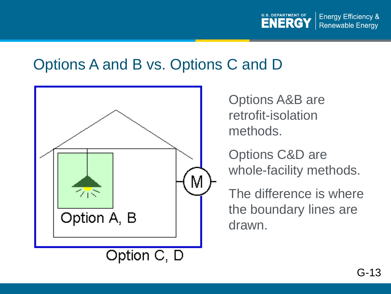

#### Options A and B vs. Options C and D



Options A&B are retrofit-isolation methods.

Options C&D are whole-facility methods.

The difference is where the boundary lines are drawn.